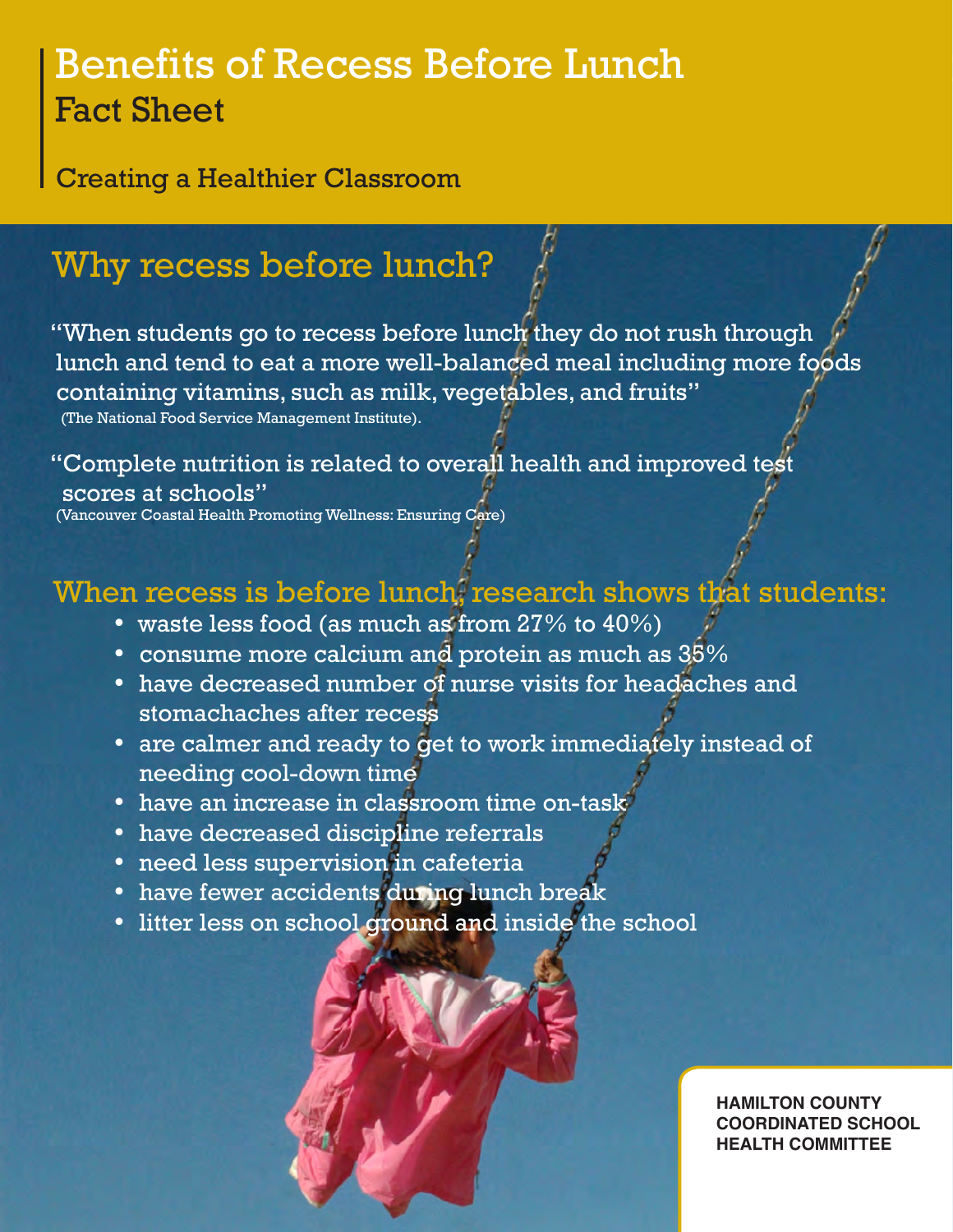# Benefits of Recess Before Lunch Fact Sheet

Creating a Healthier Classroom

## Why recess before lunch?

"When students go to recess before lunch they do not rush through lunch and tend to eat a more well-balanced meal including more foods containing vitamins, such as milk, vegetables, and fruits" (The National Food Service Management Institute).

"Complete nutrition is related to overall health and improved test scores at schools"

(Vancouver Coastal Health Promoting Wellness: Ensuring Care)

## When recess is before lunch, research shows that students:

- waste less food (as much as from  $27\%$  to  $40\%$ )
- consume more calcium and protein as much as  $35\%$
- have decreased number of nurse visits for headaches and stomachaches after recess
- are calmer and ready to get to work immediately instead of needing cool-down time
- have an increase in classroom time on-task
- have decreased discipline referrals
- need less supervision in cafeteria
- have fewer accidents during lunch break
- litter less on school ground and inside the school



**HAMILTON COUNTY COORDINATED SCHOOL HEALTH COMMITTEE**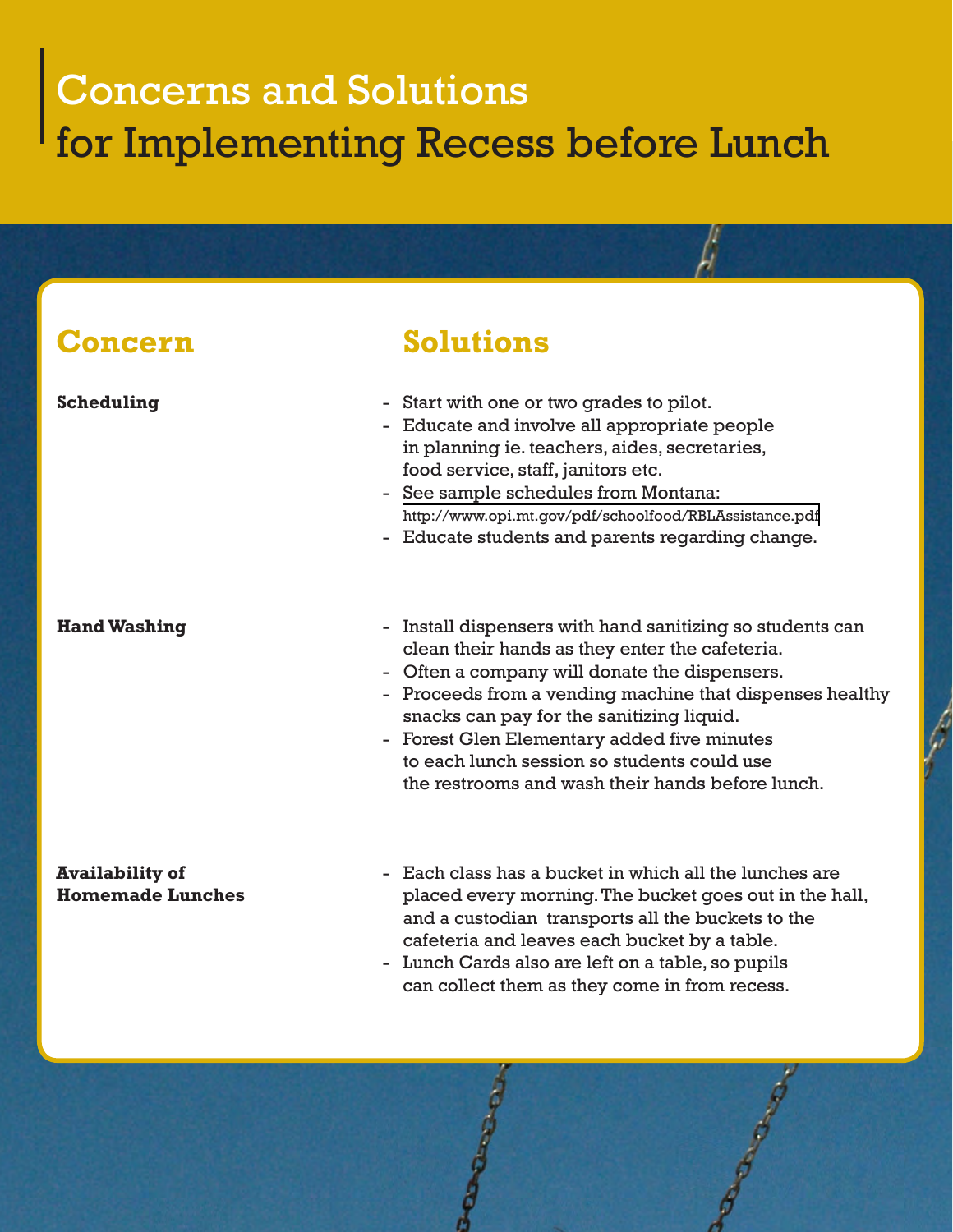# Concerns and Solutions for Implementing Recess before Lunch

### **Concern Solutions Scheduling** ? Start with one or two grades to pilot. - Educate and involve all appropriate people in planning ie. teachers, aides, secretaries, food service, staff, janitors etc. ? See sample schedules from Montana: <http://www.opi.mt.gov/pdf/schoolfood/RBLAssistance.pdf> - Educate students and parents regarding change. **Hand Washing**   $\qquad \qquad$  Install dispensers with hand sanitizing so students can clean their hands as they enter the cafeteria. ? Often a company will donate the dispensers. ? Proceeds from a vending machine that dispenses healthy snacks can pay for the sanitizing liquid. ? Forest Glen Elementary added five minutes to each lunch session so students could use the restrooms and wash their hands before lunch. **Availability of Each class has a bucket in which all the lunches are Homemade Lunches** placed every morning. The bucket goes out in the hall, and a custodian transports all the buckets to the cafeteria and leaves each bucket by a table. ? Lunch Cards also are left on a table, so pupils can collect them as they come in from recess.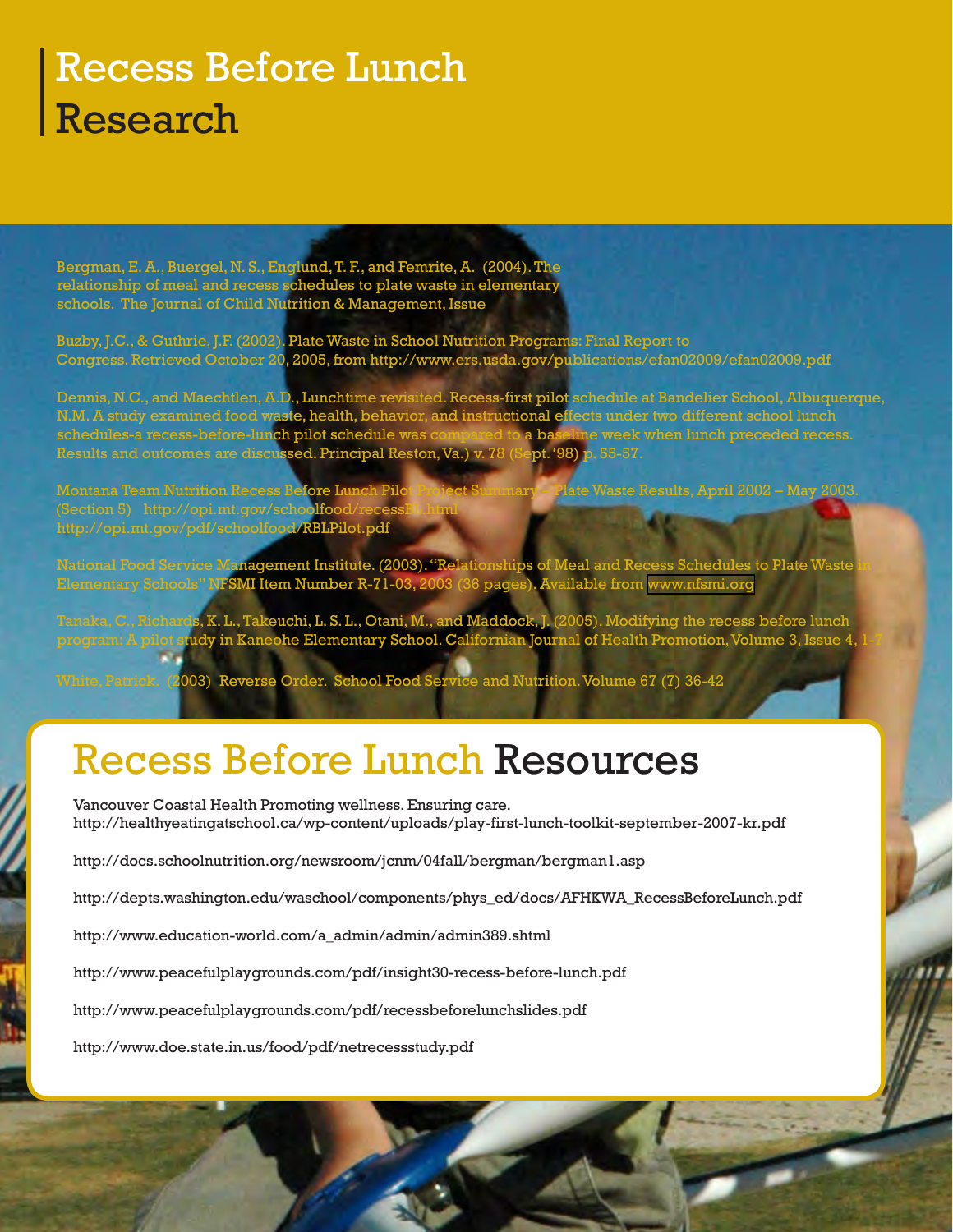# Recess Before Lunch Research

Bergman, E. A., Buergel, N. S., Englund, T. F., and Femrite, A. (2004). The relationship of meal and recess schedules to plate waste in elementary schools. The Journal of Child Nutrition & Management, Issue

Buzby, J.C., & Guthrie, J.F. (2002). Plate Waste in School Nutrition Programs: Final Report to Congress. Retrieved October 20, 2005, from http://www.ers.usda.gov/publications/efan02009/efan02009.pdf

Dennis, N.C., and Maechtlen, A.D., Lunchtime revisited. Recess-first pilot schedule at Bandelier School, Albuquerque, N.M. A study examined food waste, health, behavior, and instructional effects under two different school lunch schedules-a recess-before-lun**ch pilot schedule** was compared to a baseline week when lunch preceded recess. schedules-a recess-before-lunch pilot schedule was compared to a baseline week v<br>Results and outcomes are discussed. Principal Reston, Va.) v. 78 (Sept. '98) p. 55-57.

Montana Team Nutrition Recess Before Lunch Pilot Project Summary – Plate Waste Results, April 2002 – May 2003. (Section 5) http://opi.mt.gov/schoolfood http://opi.mt.gov/pdf/schoolfood/RBLPilot.pdf

National Food Service Management Institute. (2003). "Relationships of Meal and Recess Schedules to Plate Waste in Elementary Schools" NFSMI It<mark>em Number R-71-03,</mark> 2003 (36 pages). Available from [www.nfsmi.org](http://)

Tanaka, C., Richards, K. L., Takeuchi, L. S. L., Otani, M., and Maddock, J. (2005). Modifying the recess before lunch program: A pilot study in Kaneohe Elementary School. Californian Journal of Health Promotion, Volume 3, Issue 4,

White, Patrick. (2003) Reverse Order. School Food Service and Nutrition. Volume 67 (7) 36-42

## Recess Before Lunch Resources

Vancouver Coastal Health Promoting wellness. Ensuring care. http://healthyeatingatschool.ca/wp-content/uploads/play-first-lunch-toolkit-september-2007-kr.pdf

http://docs.schoolnutrition.org/newsroom/jcnm/04fall/bergman/bergman1.asp

http://depts.washington.edu/waschool/components/phys\_ed/docs/AFHKWA\_RecessBeforeLunch.pdf

http://www.education-world.com/a\_admin/admin/admin389.shtml

http://www.peacefulplaygrounds.com/pdf/insight30-recess-before-lunch.pdf

http://www.peacefulplaygrounds.com/pdf/recessbeforelunchslides.pdf

http://www.doe.state.in.us/food/pdf/netrecessstudy.pdf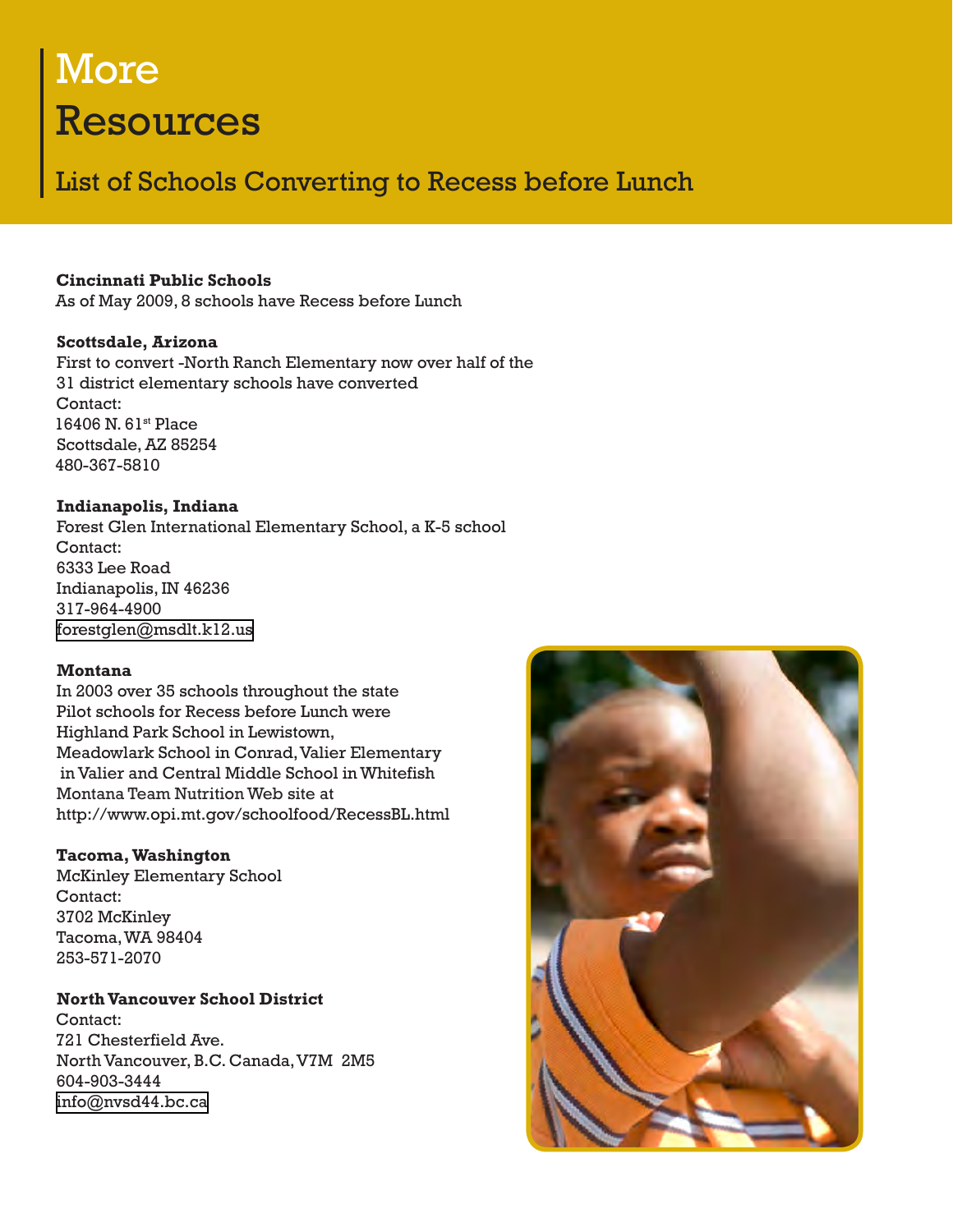# More Resources

### List of Schools Converting to Recess before Lunch

#### **Cincinnati Public Schools**

As of May 2009, 8 schools have Recess before Lunch

#### **Scottsdale, Arizona**

First to convert -North Ranch Elementary now over half of the 31 district elementary schools have converted Contact: 16406 N. 61st Place Scottsdale, AZ 85254 480-367-5810

#### **Indianapolis, Indiana**

Forest Glen International Elementary School, a K-5 school Contact: 6333 Lee Road Indianapolis, IN 46236 317-964-4900 [forestglen@msdlt.k12.us](mailto:)

#### **Montana**

In 2003 over 35 schools throughout the state Pilot schools for Recess before Lunch were Highland Park School in Lewistown, Meadowlark School in Conrad, Valier Elementary in Valier and Central Middle School in Whitefish Montana Team Nutrition Web site at http://www.opi.mt.gov/schoolfood/RecessBL.html

#### **Tacoma, Washington**

McKinley Elementary School Contact: 3702 McKinley Tacoma, WA 98404 253-571-2070

#### **North Vancouver School District**

Contact: 721 Chesterfield Ave. North Vancouver, B.C. Canada, V7M 2M5 604-903-3444 [info@nvsd44.bc.ca](mailto:)